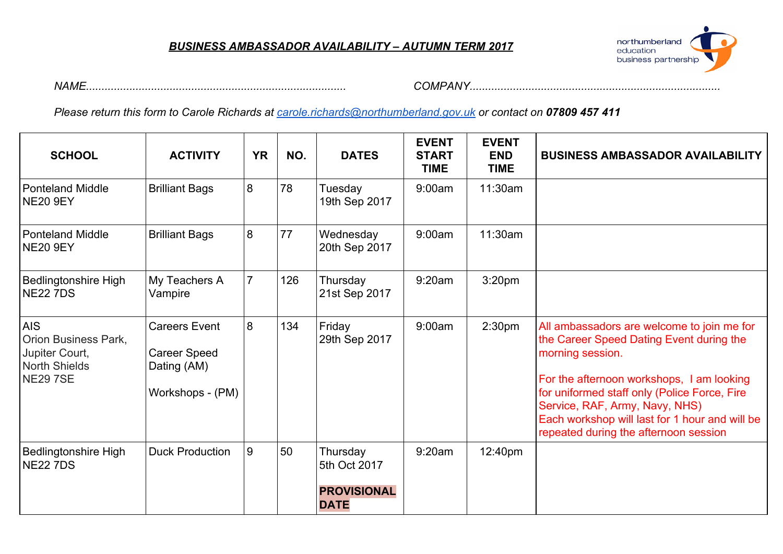#### *BUSINESS AMBASSADOR AVAILABILITY – AUTUMN TERM 2017*



*NAME.................................................................................... COMPANY.................................................................................*

*Please return this form to Carole Richards at [carole.richards@northumberland.gov.uk](mailto:carole.richards@northumberland.gov.uk) or contact on 07809 457 411*

| <b>SCHOOL</b>                                                                                  | <b>ACTIVITY</b>                                                                | <b>YR</b>      | NO. | <b>DATES</b>                                                  | <b>EVENT</b><br><b>START</b><br><b>TIME</b> | <b>EVENT</b><br><b>END</b><br><b>TIME</b> | <b>BUSINESS AMBASSADOR AVAILABILITY</b>                                                                                                                                                                                                                                                                                              |
|------------------------------------------------------------------------------------------------|--------------------------------------------------------------------------------|----------------|-----|---------------------------------------------------------------|---------------------------------------------|-------------------------------------------|--------------------------------------------------------------------------------------------------------------------------------------------------------------------------------------------------------------------------------------------------------------------------------------------------------------------------------------|
| <b>Ponteland Middle</b><br><b>NE20 9EY</b>                                                     | <b>Brilliant Bags</b>                                                          | 8              | 78  | Tuesday<br>19th Sep 2017                                      | 9:00am                                      | 11:30am                                   |                                                                                                                                                                                                                                                                                                                                      |
| <b>Ponteland Middle</b><br>NE20 9EY                                                            | <b>Brilliant Bags</b>                                                          | 8              | 77  | Wednesday<br>20th Sep 2017                                    | 9:00am                                      | 11:30am                                   |                                                                                                                                                                                                                                                                                                                                      |
| <b>Bedlingtonshire High</b><br><b>NE22 7DS</b>                                                 | My Teachers A<br>Vampire                                                       | $\overline{7}$ | 126 | Thursday<br>21st Sep 2017                                     | 9:20am                                      | 3:20 <sub>pm</sub>                        |                                                                                                                                                                                                                                                                                                                                      |
| <b>AIS</b><br>Orion Business Park,<br>Jupiter Court,<br><b>North Shields</b><br><b>NE297SE</b> | <b>Careers Event</b><br><b>Career Speed</b><br>Dating (AM)<br>Workshops - (PM) | 8              | 134 | Friday<br>29th Sep 2017                                       | 9:00am                                      | 2:30 <sub>pm</sub>                        | All ambassadors are welcome to join me for<br>the Career Speed Dating Event during the<br>morning session.<br>For the afternoon workshops, I am looking<br>for uniformed staff only (Police Force, Fire<br>Service, RAF, Army, Navy, NHS)<br>Each workshop will last for 1 hour and will be<br>repeated during the afternoon session |
| <b>Bedlingtonshire High</b><br><b>NE22 7DS</b>                                                 | <b>Duck Production</b>                                                         | 9              | 50  | Thursday<br>5th Oct 2017<br><b>PROVISIONAL</b><br><b>DATE</b> | 9:20am                                      | 12:40pm                                   |                                                                                                                                                                                                                                                                                                                                      |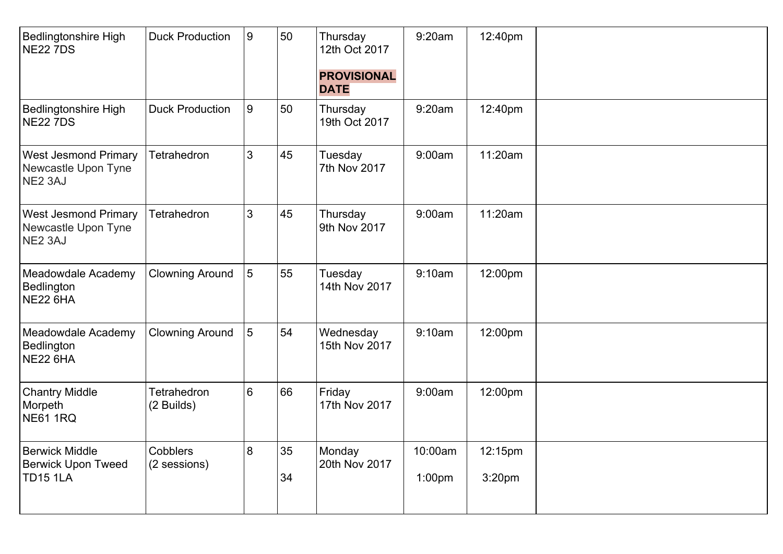| Bedlingtonshire High<br><b>NE22 7DS</b>                               | <b>Duck Production</b>           | 9               | 50       | Thursday<br>12th Oct 2017<br><b>PROVISIONAL</b><br><b>DATE</b> | 9:20am            | 12:40pm                       |  |
|-----------------------------------------------------------------------|----------------------------------|-----------------|----------|----------------------------------------------------------------|-------------------|-------------------------------|--|
| <b>Bedlingtonshire High</b><br><b>NE22 7DS</b>                        | <b>Duck Production</b>           | 9               | 50       | Thursday<br>19th Oct 2017                                      | 9:20am            | 12:40pm                       |  |
| <b>West Jesmond Primary</b><br>Newcastle Upon Tyne<br>NE2 3AJ         | <b>Tetrahedron</b>               | 3               | 45       | Tuesday<br>7th Nov 2017                                        | 9:00am            | 11:20am                       |  |
| <b>West Jesmond Primary</b><br>Newcastle Upon Tyne<br>NE2 3AJ         | <b>Tetrahedron</b>               | 3               | 45       | Thursday<br>9th Nov 2017                                       | 9:00am            | 11:20am                       |  |
| Meadowdale Academy<br>Bedlington<br><b>NE22 6HA</b>                   | <b>Clowning Around</b>           | $5\overline{5}$ | 55       | Tuesday<br>14th Nov 2017                                       | 9:10am            | 12:00pm                       |  |
| Meadowdale Academy<br>Bedlington<br><b>NE22 6HA</b>                   | <b>Clowning Around</b>           | $5\overline{5}$ | 54       | Wednesday<br>15th Nov 2017                                     | 9:10am            | 12:00pm                       |  |
| <b>Chantry Middle</b><br>Morpeth<br><b>NE61 1RQ</b>                   | <b>Tetrahedron</b><br>(2 Builds) | 6               | 66       | Friday<br>17th Nov 2017                                        | 9:00am            | 12:00pm                       |  |
| <b>Berwick Middle</b><br><b>Berwick Upon Tweed</b><br><b>TD15 1LA</b> | Cobblers<br>(2 sessions)         | $8\phantom{1}$  | 35<br>34 | Monday<br>20th Nov 2017                                        | 10:00am<br>1:00pm | 12:15pm<br>3:20 <sub>pm</sub> |  |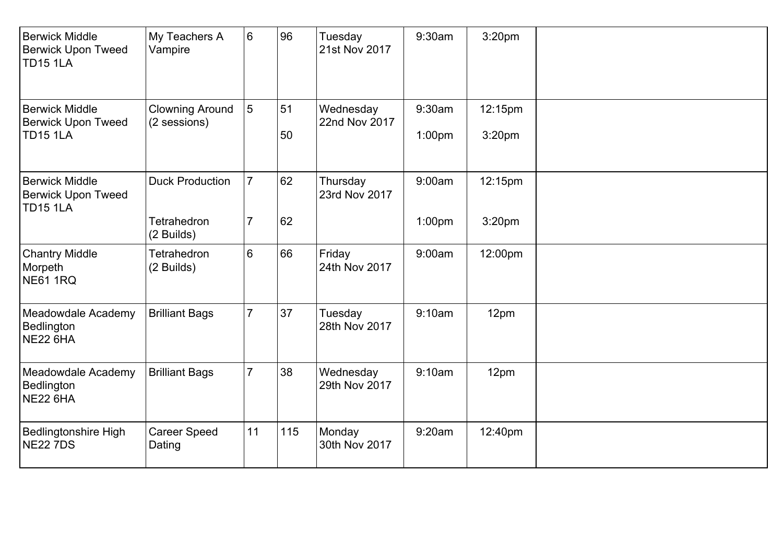| <b>Berwick Middle</b><br><b>Berwick Upon Tweed</b><br><b>TD15 1LA</b> | My Teachers A<br>Vampire                            | 6                                | 96       | Tuesday<br>21st Nov 2017   | 9:30am                       | 3:20pm                        |  |
|-----------------------------------------------------------------------|-----------------------------------------------------|----------------------------------|----------|----------------------------|------------------------------|-------------------------------|--|
| <b>Berwick Middle</b><br><b>Berwick Upon Tweed</b><br><b>TD15 1LA</b> | <b>Clowning Around</b><br>(2 sessions)              | 5                                | 51<br>50 | Wednesday<br>22nd Nov 2017 | 9:30am<br>1:00 <sub>pm</sub> | 12:15pm<br>3:20pm             |  |
| <b>Berwick Middle</b><br><b>Berwick Upon Tweed</b><br><b>TD15 1LA</b> | <b>Duck Production</b><br>Tetrahedron<br>(2 Builds) | $\overline{7}$<br>$\overline{7}$ | 62<br>62 | Thursday<br>23rd Nov 2017  | 9:00am<br>1:00pm             | 12:15pm<br>3:20 <sub>pm</sub> |  |
| <b>Chantry Middle</b><br>Morpeth<br><b>NE61 1RQ</b>                   | Tetrahedron<br>(2 Builds)                           | 6                                | 66       | Friday<br>24th Nov 2017    | 9:00am                       | 12:00pm                       |  |
| Meadowdale Academy<br>Bedlington<br><b>NE22 6HA</b>                   | <b>Brilliant Bags</b>                               | $\overline{7}$                   | 37       | Tuesday<br>28th Nov 2017   | 9:10am                       | 12pm                          |  |
| Meadowdale Academy<br>Bedlington<br><b>NE22 6HA</b>                   | <b>Brilliant Bags</b>                               | $\overline{7}$                   | 38       | Wednesday<br>29th Nov 2017 | 9:10am                       | 12pm                          |  |
| <b>Bedlingtonshire High</b><br><b>NE22 7DS</b>                        | <b>Career Speed</b><br>Dating                       | 11                               | 115      | Monday<br>30th Nov 2017    | 9:20am                       | 12:40pm                       |  |